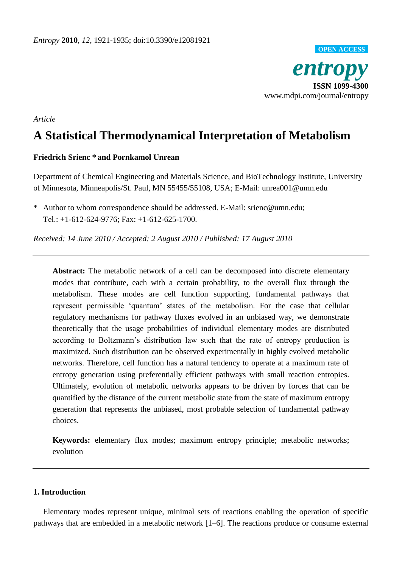

## *Article*

# **A Statistical Thermodynamical Interpretation of Metabolism**

## **Friedrich Srienc \* and Pornkamol Unrean**

Department of Chemical Engineering and Materials Science, and BioTechnology Institute, University of Minnesota, Minneapolis/St. Paul, MN 55455/55108, USA; E-Mail: unrea001@umn.edu

\* Author to whom correspondence should be addressed. E-Mail: [srienc@umn.edu;](mailto:srienc@umn.edu) Tel.: +1-612-624-9776; Fax: +1-612-625-1700.

*Received: 14 June 2010 / Accepted: 2 August 2010 / Published: 17 August 2010*

**Abstract:** The metabolic network of a cell can be decomposed into discrete elementary modes that contribute, each with a certain probability, to the overall flux through the metabolism. These modes are cell function supporting, fundamental pathways that represent permissible 'quantum' states of the metabolism. For the case that cellular regulatory mechanisms for pathway fluxes evolved in an unbiased way, we demonstrate theoretically that the usage probabilities of individual elementary modes are distributed according to Boltzmann's distribution law such that the rate of entropy production is maximized. Such distribution can be observed experimentally in highly evolved metabolic networks. Therefore, cell function has a natural tendency to operate at a maximum rate of entropy generation using preferentially efficient pathways with small reaction entropies. Ultimately, evolution of metabolic networks appears to be driven by forces that can be quantified by the distance of the current metabolic state from the state of maximum entropy generation that represents the unbiased, most probable selection of fundamental pathway choices.

**Keywords:** elementary flux modes; maximum entropy principle; metabolic networks; evolution

# **1. Introduction**

Elementary modes represent unique, minimal sets of reactions enabling the operation of specific pathways that are embedded in a metabolic network [1–6]. The reactions produce or consume external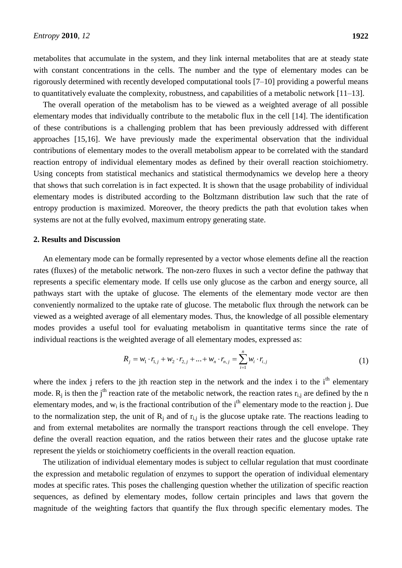metabolites that accumulate in the system, and they link internal metabolites that are at steady state with constant concentrations in the cells. The number and the type of elementary modes can be rigorously determined with recently developed computational tools [7–10] providing a powerful means to quantitatively evaluate the complexity, robustness, and capabilities of a metabolic network [11–13].

The overall operation of the metabolism has to be viewed as a weighted average of all possible elementary modes that individually contribute to the metabolic flux in the cell [14]. The identification of these contributions is a challenging problem that has been previously addressed with different approaches [15,16]. We have previously made the experimental observation that the individual contributions of elementary modes to the overall metabolism appear to be correlated with the standard reaction entropy of individual elementary modes as defined by their overall reaction stoichiometry. Using concepts from statistical mechanics and statistical thermodynamics we develop here a theory that shows that such correlation is in fact expected. It is shown that the usage probability of individual elementary modes is distributed according to the Boltzmann distribution law such that the rate of entropy production is maximized. Moreover, the theory predicts the path that evolution takes when systems are not at the fully evolved, maximum entropy generating state.

## **2. Results and Discussion**

An elementary mode can be formally represented by a vector whose elements define all the reaction rates (fluxes) of the metabolic network. The non-zero fluxes in such a vector define the pathway that represents a specific elementary mode. If cells use only glucose as the carbon and energy source, all pathways start with the uptake of glucose. The elements of the elementary mode vector are then conveniently normalized to the uptake rate of glucose. The metabolic flux through the network can be viewed as a weighted average of all elementary modes. Thus, the knowledge of all possible elementary modes provides a useful tool for evaluating metabolism in quantitative terms since the rate of individual reactions is the weighted average of all elementary modes, expressed as:

$$
R_j = w_1 \cdot r_{1,j} + w_2 \cdot r_{2,j} + ... + w_n \cdot r_{n,j} = \sum_{i=1}^n w_i \cdot r_{i,j}
$$
 (1)

where the index j refers to the jth reaction step in the network and the index i to the  $i<sup>th</sup>$  elementary mode.  $R_i$  is then the j<sup>th</sup> reaction rate of the metabolic network, the reaction rates  $r_{i,i}$  are defined by the n elementary modes, and  $w_i$  is the fractional contribution of the i<sup>th</sup> elementary mode to the reaction j. Due to the normalization step, the unit of  $R_i$  and of  $r_{i,j}$  is the glucose uptake rate. The reactions leading to and from external metabolites are normally the transport reactions through the cell envelope. They define the overall reaction equation, and the ratios between their rates and the glucose uptake rate represent the yields or stoichiometry coefficients in the overall reaction equation.

The utilization of individual elementary modes is subject to cellular regulation that must coordinate the expression and metabolic regulation of enzymes to support the operation of individual elementary modes at specific rates. This poses the challenging question whether the utilization of specific reaction sequences, as defined by elementary modes, follow certain principles and laws that govern the magnitude of the weighting factors that quantify the flux through specific elementary modes. The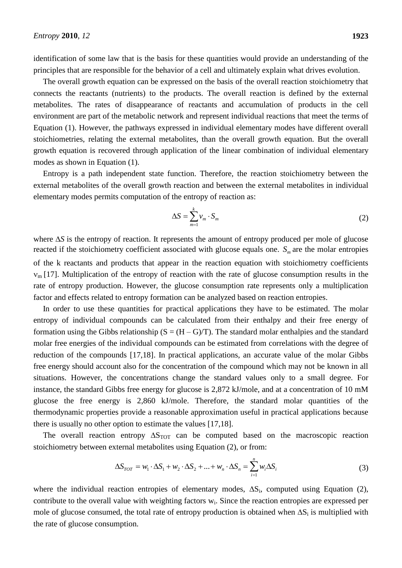identification of some law that is the basis for these quantities would provide an understanding of the principles that are responsible for the behavior of a cell and ultimately explain what drives evolution.

The overall growth equation can be expressed on the basis of the overall reaction stoichiometry that connects the reactants (nutrients) to the products. The overall reaction is defined by the external metabolites. The rates of disappearance of reactants and accumulation of products in the cell environment are part of the metabolic network and represent individual reactions that meet the terms of Equation (1). However, the pathways expressed in individual elementary modes have different overall stoichiometries, relating the external metabolites, than the overall growth equation. But the overall growth equation is recovered through application of the linear combination of individual elementary modes as shown in Equation (1).

Entropy is a path independent state function. Therefore, the reaction stoichiometry between the external metabolites of the overall growth reaction and between the external metabolites in individual elementary modes permits computation of the entropy of reaction as:

$$
\Delta S = \sum_{m=1}^{k} v_m \cdot S_m \tag{2}
$$

where  $\Delta S$  is the entropy of reaction. It represents the amount of entropy produced per mole of glucose reacted if the stoichiometry coefficient associated with glucose equals one.  $S_m$  are the molar entropies of the k reactants and products that appear in the reaction equation with stoichiometry coefficients  $v_m$  [17]. Multiplication of the entropy of reaction with the rate of glucose consumption results in the rate of entropy production. However, the glucose consumption rate represents only a multiplication factor and effects related to entropy formation can be analyzed based on reaction entropies.

In order to use these quantities for practical applications they have to be estimated. The molar entropy of individual compounds can be calculated from their enthalpy and their free energy of formation using the Gibbs relationship  $(S = (H - G)/T)$ . The standard molar enthalpies and the standard molar free energies of the individual compounds can be estimated from correlations with the degree of reduction of the compounds [17,18]. In practical applications, an accurate value of the molar Gibbs free energy should account also for the concentration of the compound which may not be known in all situations. However, the concentrations change the standard values only to a small degree. For instance, the standard Gibbs free energy for glucose is 2,872 kJ/mole, and at a concentration of 10 mM glucose the free energy is 2,860 kJ/mole. Therefore, the standard molar quantities of the thermodynamic properties provide a reasonable approximation useful in practical applications because there is usually no other option to estimate the values [17,18].

The overall reaction entropy  $\Delta S_{TOT}$  can be computed based on the macroscopic reaction

stoichiometry between external metabolites using Equation (2), or from:  
\n
$$
\Delta S_{TOT} = w_1 \cdot \Delta S_1 + w_2 \cdot \Delta S_2 + ... + w_n \cdot \Delta S_n = \sum_{i=1}^{n} w_i \Delta S_i
$$
\n(3)

where the individual reaction entropies of elementary modes,  $\Delta S_i$ , computed using Equation (2), contribute to the overall value with weighting factors  $w_i$ . Since the reaction entropies are expressed per mole of glucose consumed, the total rate of entropy production is obtained when  $\Delta S_i$  is multiplied with the rate of glucose consumption.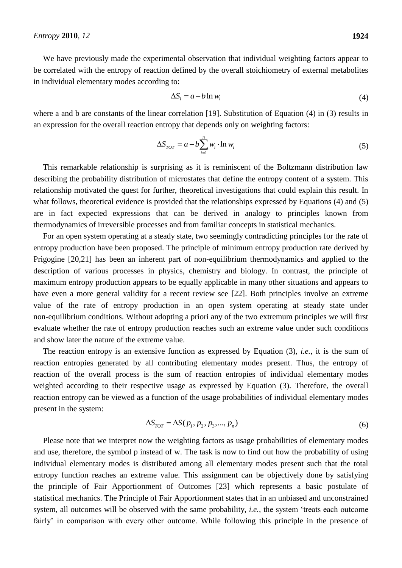We have previously made the experimental observation that individual weighting factors appear to be correlated with the entropy of reaction defined by the overall stoichiometry of external metabolites in individual elementary modes according to:

$$
\Delta S_i = a - b \ln w_i \tag{4}
$$

where a and b are constants of the linear correlation [19]. Substitution of Equation (4) in (3) results in an expression for the overall reaction entropy that depends only on weighting factors:

$$
\Delta S_{TOT} = a - b \sum_{i=1}^{n} w_i \cdot \ln w_i \tag{5}
$$

This remarkable relationship is surprising as it is reminiscent of the Boltzmann distribution law describing the probability distribution of microstates that define the entropy content of a system. This relationship motivated the quest for further, theoretical investigations that could explain this result. In what follows, theoretical evidence is provided that the relationships expressed by Equations (4) and (5) are in fact expected expressions that can be derived in analogy to principles known from thermodynamics of irreversible processes and from familiar concepts in statistical mechanics.

For an open system operating at a steady state, two seemingly contradicting principles for the rate of entropy production have been proposed. The principle of minimum entropy production rate derived by Prigogine [20,21] has been an inherent part of non-equilibrium thermodynamics and applied to the description of various processes in physics, chemistry and biology. In contrast, the principle of maximum entropy production appears to be equally applicable in many other situations and appears to have even a more general validity for a recent review see [22]. Both principles involve an extreme value of the rate of entropy production in an open system operating at steady state under non-equilibrium conditions. Without adopting a priori any of the two extremum principles we will first evaluate whether the rate of entropy production reaches such an extreme value under such conditions and show later the nature of the extreme value.

The reaction entropy is an extensive function as expressed by Equation (3), *i.e.*, it is the sum of reaction entropies generated by all contributing elementary modes present. Thus, the entropy of reaction of the overall process is the sum of reaction entropies of individual elementary modes weighted according to their respective usage as expressed by Equation (3). Therefore, the overall reaction entropy can be viewed as a function of the usage probabilities of individual elementary modes present in the system:

$$
\Delta S_{TOT} = \Delta S(p_1, p_2, p_3, ..., p_n)
$$
\n(6)

Please note that we interpret now the weighting factors as usage probabilities of elementary modes and use, therefore, the symbol p instead of w. The task is now to find out how the probability of using individual elementary modes is distributed among all elementary modes present such that the total entropy function reaches an extreme value. This assignment can be objectively done by satisfying the principle of Fair Apportionment of Outcomes [23] which represents a basic postulate of statistical mechanics. The Principle of Fair Apportionment states that in an unbiased and unconstrained system, all outcomes will be observed with the same probability, *i.e.,* the system 'treats each outcome fairly' in comparison with every other outcome. While following this principle in the presence of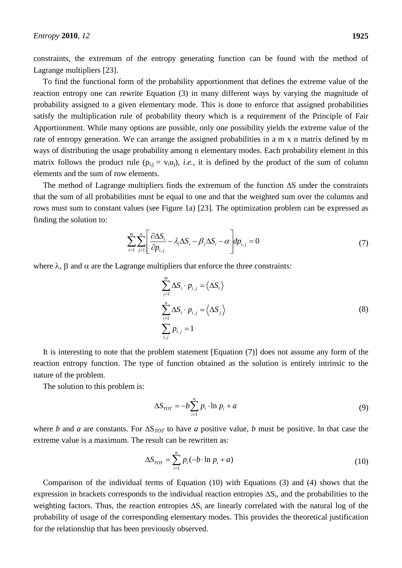constraints, the extremum of the entropy generating function can be found with the method of Lagrange multipliers [23].

To find the functional form of the probability apportionment that defines the extreme value of the reaction entropy one can rewrite Equation (3) in many different ways by varying the magnitude of probability assigned to a given elementary mode. This is done to enforce that assigned probabilities satisfy the multiplication rule of probability theory which is a requirement of the Principle of Fair Apportionment. While many options are possible, only one possibility yields the extreme value of the rate of entropy generation. We can arrange the assigned probabilities in a m x n matrix defined by m ways of distributing the usage probability among n elementary modes. Each probability element in this matrix follows the product rule  $(p_{i,j} = v_i u_i)$ , *i.e.*, it is defined by the product of the sum of column elements and the sum of row elements.

The method of Lagrange multipliers finds the extremum of the function  $\Delta S$  under the constraints that the sum of all probabilities must be equal to one and that the weighted sum over the columns and rows must sum to constant values (see Figure 1a) [23]. The optimization problem can be expressed as finding the solution to:

$$
\sum_{i=1}^{m} \sum_{j=1}^{n} \left[ \frac{\partial \Delta S_i}{\partial p_{i,j}} - \lambda_i \Delta S_i - \beta_j \Delta S_i - \alpha \right] dp_{i,j} = 0 \tag{7}
$$

where  $\lambda$ ,  $\beta$  and  $\alpha$  are the Lagrange multipliers that enforce the three constraints:

$$
\sum_{j=1}^{m} \Delta S_i \cdot p_{i,j} = \langle \Delta S_i \rangle
$$
  

$$
\sum_{i=1}^{n} \Delta S_i \cdot p_{i,j} = \langle \Delta S_j \rangle
$$
  

$$
\sum_{i,j} p_{i,j} = 1
$$
 (8)

It is interesting to note that the problem statement [Equation (7)] does not assume any form of the reaction entropy function. The type of function obtained as the solution is entirely intrinsic to the nature of the problem.

The solution to this problem is:

$$
\Delta S_{TOT} = -b \sum_{i=1}^{n} p_i \cdot \ln p_i + a \tag{9}
$$

where *b* and *a* are constants. For  $\Delta S_{TOT}$  to have *a* positive value, *b* must be positive. In that case the extreme value is a maximum. The result can be rewritten as:

$$
\Delta S_{TOT} = \sum_{i=1}^{n} p_i(-b \cdot \ln p_i + a) \tag{10}
$$

Comparison of the individual terms of Equation (10) with Equations (3) and (4) shows that the expression in brackets corresponds to the individual reaction entropies  $\Delta S_i$ , and the probabilities to the weighting factors. Thus, the reaction entropies  $\Delta S_i$  are linearly correlated with the natural log of the probability of usage of the corresponding elementary modes. This provides the theoretical justification for the relationship that has been previously observed.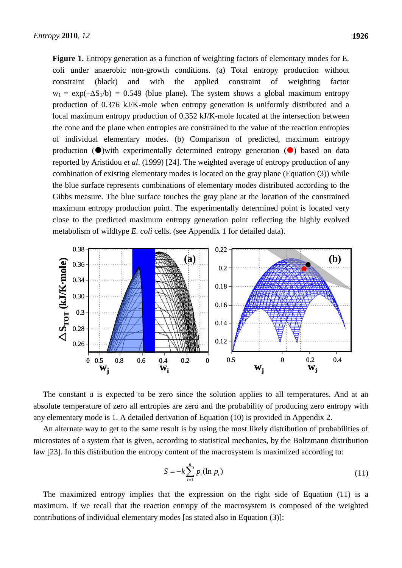**Figure 1.** Entropy generation as a function of weighting factors of elementary modes for E. coli under anaerobic non-growth conditions. (a) Total entropy production without constraint (black) and with the applied constraint of weighting factor  $w_1 = \exp(-\Delta S_1/b) = 0.549$  (blue plane). The system shows a global maximum entropy production of 0.376 kJ/K-mole when entropy generation is uniformly distributed and a local maximum entropy production of 0.352 kJ/K-mole located at the intersection between the cone and the plane when entropies are constrained to the value of the reaction entropies of individual elementary modes. (b) Comparison of predicted, maximum entropy production  $(\bullet)$  with experimentally determined entropy generation  $(\bullet)$  based on data reported by Aristidou *et al*. (1999) [24]. The weighted average of entropy production of any combination of existing elementary modes is located on the gray plane (Equation (3)) while the blue surface represents combinations of elementary modes distributed according to the Gibbs measure. The blue surface touches the gray plane at the location of the constrained maximum entropy production point. The experimentally determined point is located very close to the predicted maximum entropy generation point reflecting the highly evolved metabolism of wildtype *E. coli* cells. (see Appendix 1 for detailed data).



The constant *a* is expected to be zero since the solution applies to all temperatures. And at an absolute temperature of zero all entropies are zero and the probability of producing zero entropy with any elementary mode is 1. A detailed derivation of Equation (10) is provided in Appendix 2.

An alternate way to get to the same result is by using the most likely distribution of probabilities of microstates of a system that is given, according to statistical mechanics, by the Boltzmann distribution law [23]. In this distribution the entropy content of the macrosystem is maximized according to:

$$
S = -k \sum_{i=1}^{n} p_i (\ln p_i)
$$
 (11)

The maximized entropy implies that the expression on the right side of Equation (11) is a maximum. If we recall that the reaction entropy of the macrosystem is composed of the weighted contributions of individual elementary modes [as stated also in Equation (3)]: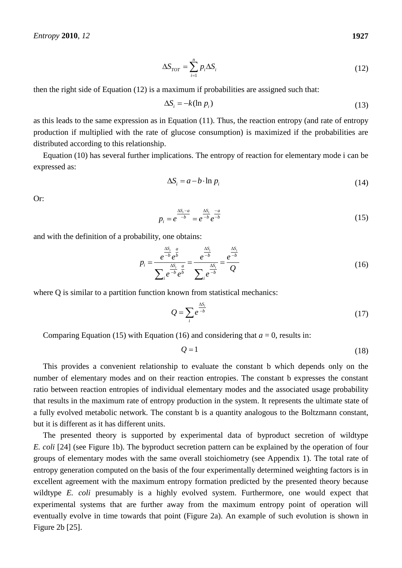$$
\Delta S_{TOT} = \sum_{i=1}^{n} p_i \Delta S_i \tag{12}
$$

then the right side of Equation (12) is a maximum if probabilities are assigned such that:

$$
\Delta S_i = -k(\ln p_i) \tag{13}
$$

as this leads to the same expression as in Equation (11). Thus, the reaction entropy (and rate of entropy production if multiplied with the rate of glucose consumption) is maximized if the probabilities are distributed according to this relationship.

Equation (10) has several further implications. The entropy of reaction for elementary mode i can be expressed as:

$$
\Delta S_i = a - b \cdot \ln p_i \tag{14}
$$

Or:

$$
p_i = e^{\frac{\Delta S_i - a}{-b}} = e^{\frac{\Delta S_i}{-b}} e^{\frac{-a}{-b}}
$$
 (15)

and with the definition of a probability, one obtains:

$$
p_{i} = \frac{e^{\frac{\Delta S_{i}}{b}}e^{\frac{a}{b}}}{\sum_{i} e^{-b}e^{\frac{b}{b}}} = \frac{e^{\frac{\Delta S_{i}}{b}}}{\sum_{i} e^{-b}} = \frac{e^{\frac{\Delta S_{i}}{b}}}{Q}
$$
(16)

where O is similar to a partition function known from statistical mechanics:

$$
Q = \sum_{i} e^{\frac{\Delta S_i}{-b}}
$$
 (17)

Comparing Equation (15) with Equation (16) and considering that  $a = 0$ , results in:

$$
Q = 1 \tag{18}
$$

This provides a convenient relationship to evaluate the constant b which depends only on the number of elementary modes and on their reaction entropies. The constant b expresses the constant ratio between reaction entropies of individual elementary modes and the associated usage probability that results in the maximum rate of entropy production in the system. It represents the ultimate state of a fully evolved metabolic network. The constant b is a quantity analogous to the Boltzmann constant, but it is different as it has different units.

The presented theory is supported by experimental data of byproduct secretion of wildtype *E. coli* [24] (see Figure 1b). The byproduct secretion pattern can be explained by the operation of four groups of elementary modes with the same overall stoichiometry (see Appendix 1). The total rate of entropy generation computed on the basis of the four experimentally determined weighting factors is in excellent agreement with the maximum entropy formation predicted by the presented theory because wildtype *E. coli* presumably is a highly evolved system. Furthermore, one would expect that experimental systems that are further away from the maximum entropy point of operation will eventually evolve in time towards that point (Figure 2a). An example of such evolution is shown in Figure 2b [25].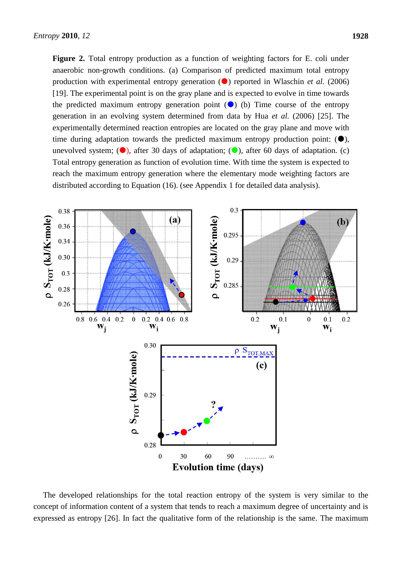**Figure 2.** Total entropy production as a function of weighting factors for E. coli under anaerobic non-growth conditions. (a) Comparison of predicted maximum total entropy production with experimental entropy generation  $\left( \bullet \right)$  reported in Wlaschin *et al.* (2006) [19]. The experimental point is on the gray plane and is expected to evolve in time towards the predicted maximum entropy generation point  $(\bullet)$  (b) Time course of the entropy generation in an evolving system determined from data by Hua *et al.* (2006) [25]. The experimentally determined reaction entropies are located on the gray plane and move with time during adaptation towards the predicted maximum entropy production point:  $(\bullet)$ , unevolved system;  $\left( \bullet \right)$ , after 30 days of adaptation;  $\left( \bullet \right)$ , after 60 days of adaptation. (c) Total entropy generation as function of evolution time. With time the system is expected to reach the maximum entropy generation where the elementary mode weighting factors are distributed according to Equation (16). (see Appendix 1 for detailed data analysis).



The developed relationships for the total reaction entropy of the system is very similar to the concept of information content of a system that tends to reach a maximum degree of uncertainty and is expressed as entropy [26]. In fact the qualitative form of the relationship is the same. The maximum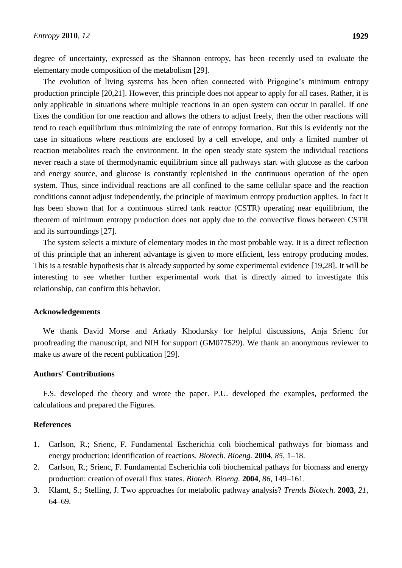degree of uncertainty, expressed as the Shannon entropy, has been recently used to evaluate the elementary mode composition of the metabolism [29].

The evolution of living systems has been often connected with Prigogine's minimum entropy production principle [20,21]. However, this principle does not appear to apply for all cases. Rather, it is only applicable in situations where multiple reactions in an open system can occur in parallel. If one fixes the condition for one reaction and allows the others to adjust freely, then the other reactions will tend to reach equilibrium thus minimizing the rate of entropy formation. But this is evidently not the case in situations where reactions are enclosed by a cell envelope, and only a limited number of reaction metabolites reach the environment. In the open steady state system the individual reactions never reach a state of thermodynamic equilibrium since all pathways start with glucose as the carbon and energy source, and glucose is constantly replenished in the continuous operation of the open system. Thus, since individual reactions are all confined to the same cellular space and the reaction conditions cannot adjust independently, the principle of maximum entropy production applies. In fact it has been shown that for a continuous stirred tank reactor (CSTR) operating near equilibrium, the theorem of minimum entropy production does not apply due to the convective flows between CSTR and its surroundings [27].

The system selects a mixture of elementary modes in the most probable way. It is a direct reflection of this principle that an inherent advantage is given to more efficient, less entropy producing modes. This is a testable hypothesis that is already supported by some experimental evidence [19,28]. It will be interesting to see whether further experimental work that is directly aimed to investigate this relationship, can confirm this behavior.

#### **Acknowledgements**

We thank David Morse and Arkady Khodursky for helpful discussions, Anja Srienc for proofreading the manuscript, and NIH for support (GM077529). We thank an anonymous reviewer to make us aware of the recent publication [29].

## **Authors' Contributions**

F.S. developed the theory and wrote the paper. P.U. developed the examples, performed the calculations and prepared the Figures.

## **References**

- 1. Carlson, R.; Srienc, F. Fundamental Escherichia coli biochemical pathways for biomass and energy production: identification of reactions. *Biotech. Bioeng.* **2004**, *85*, 1–18.
- 2. Carlson, R.; Srienc, F. Fundamental Escherichia coli biochemical pathays for biomass and energy production: creation of overall flux states. *Biotech. Bioeng.* **2004**, *86*, 149–161.
- 3. Klamt, S.; Stelling, J. Two approaches for metabolic pathway analysis? *Trends Biotech.* **2003**, *21*, 64–69.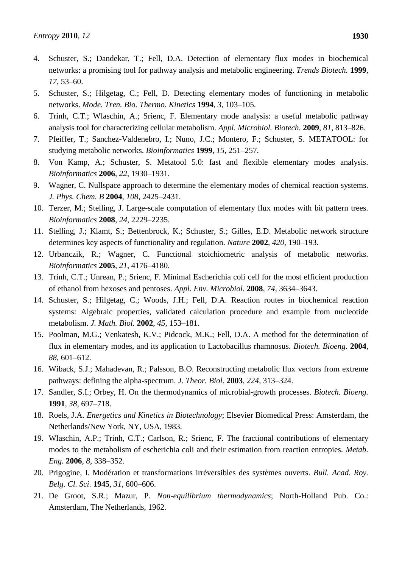- 4. Schuster, S.; Dandekar, T.; Fell, D.A. Detection of elementary flux modes in biochemical networks: a promising tool for pathway analysis and metabolic engineering. *Trends Biotech.* **1999**, *17*, 53–60.
- 5. Schuster, S.; Hilgetag, C.; Fell, D. Detecting elementary modes of functioning in metabolic networks. *Mode. Tren. Bio. Thermo. Kinetics* **1994**, *3*, 103–105.
- 6. Trinh, C.T.; Wlaschin, A.; Srienc, F. Elementary mode analysis: a useful metabolic pathway analysis tool for characterizing cellular metabolism. *Appl. Microbiol. Biotech.* **2009**, *81*, 813–826.
- 7. Pfeiffer, T.; Sanchez-Valdenebro, I.; Nuno, J.C.; Montero, F.; Schuster, S. METATOOL: for studying metabolic networks. *Bioinformatics* **1999**, *15*, 251–257.
- 8. Von Kamp, A.; Schuster, S. Metatool 5.0: fast and flexible elementary modes analysis. *Bioinformatics* **2006**, *22*, 1930–1931.
- 9. Wagner, C. Nullspace approach to determine the elementary modes of chemical reaction systems. *J. Phys. Chem. B* **2004**, *108*, 2425–2431.
- 10. Terzer, M.; Stelling, J. Large-scale computation of elementary flux modes with bit pattern trees. *Bioinformatics* **2008**, *24*, 2229–2235.
- 11. Stelling, J.; Klamt, S.; Bettenbrock, K.; Schuster, S.; Gilles, E.D. Metabolic network structure determines key aspects of functionality and regulation. *Nature* **2002**, *420*, 190–193.
- 12. Urbanczik, R.; Wagner, C. Functional stoichiometric analysis of metabolic networks. *Bioinformatics* **2005**, *21*, 4176–4180.
- 13. Trinh, C.T.; Unrean, P.; Srienc, F. Minimal Escherichia coli cell for the most efficient production of ethanol from hexoses and pentoses. *Appl. Env. Microbiol.* **2008**, *74*, 3634–3643.
- 14. Schuster, S.; Hilgetag, C.; Woods, J.H.; Fell, D.A. Reaction routes in biochemical reaction systems: Algebraic properties, validated calculation procedure and example from nucleotide metabolism. *J. Math. Biol.* **2002**, *45*, 153–181.
- 15. Poolman, M.G.; Venkatesh, K.V.; Pidcock, M.K.; Fell, D.A. A method for the determination of flux in elementary modes, and its application to Lactobacillus rhamnosus. *Biotech. Bioeng.* **2004**, *88*, 601–612.
- 16. Wiback, S.J.; Mahadevan, R.; Palsson, B.O. Reconstructing metabolic flux vectors from extreme pathways: defining the alpha-spectrum. *J. Theor. Biol.* **2003**, *224*, 313–324.
- 17. Sandler, S.I.; Orbey, H. On the thermodynamics of microbial-growth processes. *Biotech. Bioeng.* **1991**, *38*, 697–718.
- 18. Roels, J.A. *Energetics and Kinetics in Biotechnology*; Elsevier Biomedical Press: Amsterdam, the Netherlands/New York, NY, USA, 1983.
- 19. Wlaschin, A.P.; Trinh, C.T.; Carlson, R.; Srienc, F. The fractional contributions of elementary modes to the metabolism of escherichia coli and their estimation from reaction entropies. *Metab. Eng.* **2006**, *8*, 338–352.
- 20. Prigogine, I. Modération et transformations irréversibles des systèmes ouverts. *Bull. Acad. Roy. Belg. Cl. Sci*. **1945**, *31*, 600–606.
- 21. De Groot, S.R.; Mazur, P. *Non-equilibrium thermodynamics*; North-Holland Pub. Co.: Amsterdam, The Netherlands, 1962.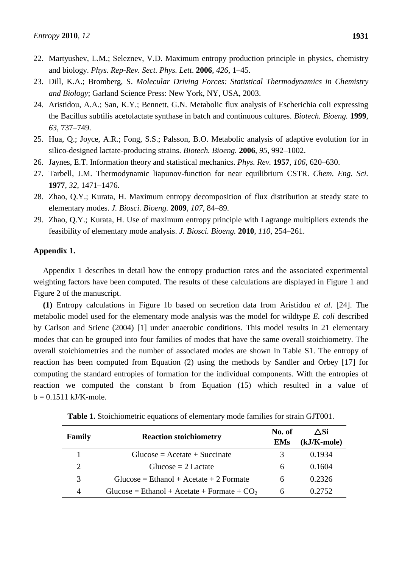- 22. Martyushev, L.M.; Seleznev, V.D. Maximum entropy production principle in physics, chemistry and biology. *Phys. Rep-Rev. Sect. Phys. Lett*. **2006**, *426*, 1–45.
- 23. Dill, K.A.; Bromberg, S. *Molecular Driving Forces: Statistical Thermodynamics in Chemistry and Biology*; Garland Science Press: New York, NY, USA, 2003.
- 24. Aristidou, A.A.; San, K.Y.; Bennett, G.N. Metabolic flux analysis of Escherichia coli expressing the Bacillus subtilis acetolactate synthase in batch and continuous cultures. *Biotech. Bioeng.* **1999**, *63*, 737–749.
- 25. Hua, Q.; Joyce, A.R.; Fong, S.S.; Palsson, B.O. Metabolic analysis of adaptive evolution for in silico-designed lactate-producing strains. *Biotech. Bioeng.* **2006**, *95*, 992–1002.
- 26. Jaynes, E.T. Information theory and statistical mechanics. *Phys. Rev.* **1957**, *106*, 620–630.
- 27. Tarbell, J.M. Thermodynamic liapunov-function for near equilibrium CSTR. *Chem. Eng. Sci.* **1977**, *32*, 1471–1476.
- 28. Zhao, Q.Y.; Kurata, H. Maximum entropy decomposition of flux distribution at steady state to elementary modes. *J. Biosci. Bioeng.* **2009**, *107*, 84–89.
- 29. Zhao, Q.Y.; Kurata, H. Use of maximum entropy principle with Lagrange multipliers extends the feasibility of elementary mode analysis. *J. Biosci. Bioeng.* **2010**, *110*, 254–261.

## **Appendix 1.**

Appendix 1 describes in detail how the entropy production rates and the associated experimental weighting factors have been computed. The results of these calculations are displayed in Figure 1 and Figure 2 of the manuscript.

**(1)** Entropy calculations in Figure 1b based on secretion data from Aristidou *et al*. [24]. The metabolic model used for the elementary mode analysis was the model for wildtype *E. coli* described by Carlson and Srienc (2004) [1] under anaerobic conditions. This model results in 21 elementary modes that can be grouped into four families of modes that have the same overall stoichiometry. The overall stoichiometries and the number of associated modes are shown in Table S1. The entropy of reaction has been computed from Equation (2) using the methods by Sandler and Orbey [17] for computing the standard entropies of formation for the individual components. With the entropies of reaction we computed the constant b from Equation (15) which resulted in a value of  $b = 0.1511$  kJ/K-mole.

| Family | <b>Reaction stoichiometry</b>                 | No. of<br><b>EMs</b> | ∧Si<br>$(kJ/K$ -mole $)$ |
|--------|-----------------------------------------------|----------------------|--------------------------|
|        | $Glucose = Acetate + Succinate$               | 3                    | 0.1934                   |
| 2      | $Glucose = 2$ Lactate                         | 6                    | 0.1604                   |
| 3      | $Glucose = Ethanol + Acetate + 2 Formate$     | <sub>6</sub>         | 0.2326                   |
| 4      | Glucose = Ethanol + Acetate + Formate + $CO2$ | <sub>0</sub>         | 0.2752                   |

**Table 1.** Stoichiometric equations of elementary mode families for strain GJT001.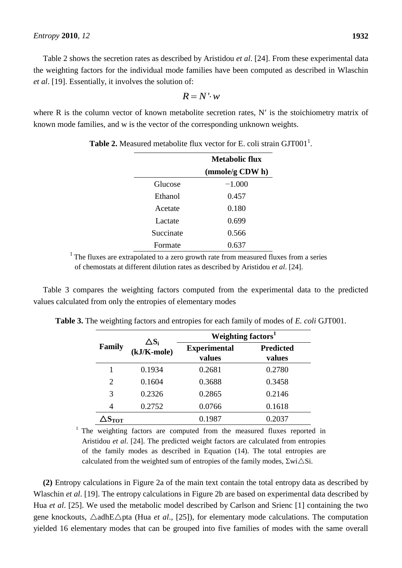Table 2 shows the secretion rates as described by Aristidou *et al*. [24]. From these experimental data the weighting factors for the individual mode families have been computed as described in Wlaschin *et al*. [19]. Essentially, it involves the solution of:

$$
R = N \cdot w
$$

where  $R$  is the column vector of known metabolite secretion rates,  $N'$  is the stoichiometry matrix of known mode families, and w is the vector of the corresponding unknown weights.

|           | <b>Metabolic flux</b> |
|-----------|-----------------------|
|           | (mmole/g CDW h)       |
| Glucose   | $-1.000$              |
| Ethanol   | 0.457                 |
| Acetate   | 0.180                 |
| Lactate   | 0.699                 |
| Succinate | 0.566                 |
| Formate   | 0.637                 |

**Table 2.** Measured metabolite flux vector for E. coli strain GJT001<sup>1</sup>.

<sup>1</sup> The fluxes are extrapolated to a zero growth rate from measured fluxes from a series of chemostats at different dilution rates as described by Aristidou *et al*. [24].

Table 3 compares the weighting factors computed from the experimental data to the predicted values calculated from only the entropies of elementary modes

|                           | $\Delta S_i$      | Weighting factors <sup>1</sup> |                            |  |  |  |
|---------------------------|-------------------|--------------------------------|----------------------------|--|--|--|
| Family                    | $(kJ/K$ -mole $)$ | <b>Experimental</b><br>values  | <b>Predicted</b><br>values |  |  |  |
| 1                         | 0.1934            | 0.2681                         | 0.2780                     |  |  |  |
| $\overline{2}$            | 0.1604            | 0.3688                         | 0.3458                     |  |  |  |
| 3                         | 0.2326            | 0.2865                         | 0.2146                     |  |  |  |
| 4                         | 0.2752            | 0.0766                         | 0.1618                     |  |  |  |
| $\Delta \mathbf{S_{TOT}}$ |                   | 0.1987                         | .2037                      |  |  |  |

**Table 3.** The weighting factors and entropies for each family of modes of *E. coli* GJT001.

<sup>1</sup> The weighting factors are computed from the measured fluxes reported in Aristidou *et al*. [24]. The predicted weight factors are calculated from entropies of the family modes as described in Equation (14). The total entropies are calculated from the weighted sum of entropies of the family modes,  $\Sigma wi\triangle Si$ .

**(2)** Entropy calculations in Figure 2a of the main text contain the total entropy data as described by Wlaschin *et al*. [19]. The entropy calculations in Figure 2b are based on experimental data described by Hua *et al*. [25]. We used the metabolic model described by Carlson and Srienc [1] containing the two gene knockouts,  $\triangle$ adhE $\triangle$ pta (Hua *et al.*, [25]), for elementary mode calculations. The computation yielded 16 elementary modes that can be grouped into five families of modes with the same overall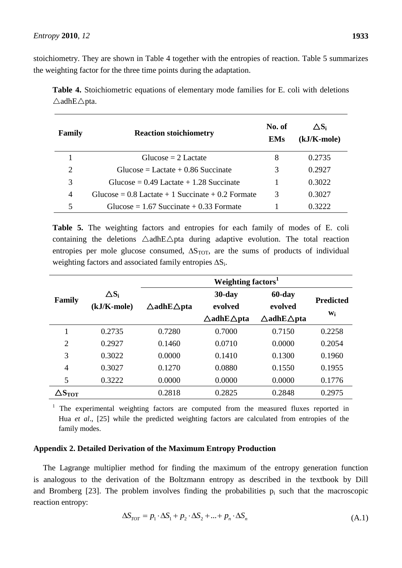stoichiometry. They are shown in Table 4 together with the entropies of reaction. Table 5 summarizes the weighting factor for the three time points during the adaptation.

|                                   | Table 4. Stoichiometric equations of elementary mode families for E. coli with deletions |  |  |  |  |  |
|-----------------------------------|------------------------------------------------------------------------------------------|--|--|--|--|--|
| $\triangle$ adhE $\triangle$ pta. |                                                                                          |  |  |  |  |  |

| Family | <b>Reaction stoichiometry</b>                         | No. of<br><b>EMs</b> | $\Delta S_i$<br>$(kJ/K$ -mole) |  |
|--------|-------------------------------------------------------|----------------------|--------------------------------|--|
|        | Glucose $= 2$ Lactate                                 | 8                    | 0.2735                         |  |
| 2      | $Glucose = Lactate + 0.86$ Succinate                  | 3                    | 0.2927                         |  |
| 3      | Glucose = $0.49$ Lactate + 1.28 Succinate             |                      | 0.3022                         |  |
| 4      | Glucose = $0.8$ Lactate + 1 Succinate + $0.2$ Formate | 3                    | 0.3027                         |  |
|        | Glucose = $1.67$ Succinate + 0.33 Formate             |                      | 0.3222                         |  |

**Table 5.** The weighting factors and entropies for each family of modes of E. coli containing the deletions  $\triangle$ adhE $\triangle$ pta during adaptive evolution. The total reaction entropies per mole glucose consumed,  $\Delta S_{TOT}$ , are the sums of products of individual weighting factors and associated family entropies  $\Delta S_i$ .

|                  |              | Weighting factors <sup>1</sup>   |                                  |                                  |                  |  |  |  |
|------------------|--------------|----------------------------------|----------------------------------|----------------------------------|------------------|--|--|--|
| Family           | $\Delta S_i$ |                                  | $30$ -day                        | 60-day                           | <b>Predicted</b> |  |  |  |
|                  | (kJ/K-mole)  | $\triangle$ adhE $\triangle$ pta | evolved                          | evolved                          |                  |  |  |  |
|                  |              |                                  | $\triangle$ adhE $\triangle$ pta | $\triangle$ adhE $\triangle$ pta | Wi               |  |  |  |
|                  | 0.2735       | 0.7280                           | 0.7000                           | 0.7150                           | 0.2258           |  |  |  |
| $\overline{2}$   | 0.2927       | 0.1460                           | 0.0710                           | 0.0000                           | 0.2054           |  |  |  |
| 3                | 0.3022       | 0.0000                           | 0.1410                           | 0.1300                           | 0.1960           |  |  |  |
| $\overline{4}$   | 0.3027       | 0.1270                           | 0.0880                           | 0.1550                           | 0.1955           |  |  |  |
| 5                | 0.3222       | 0.0000                           | 0.0000                           | 0.0000                           | 0.1776           |  |  |  |
| $\Delta S_{TOT}$ |              | 0.2818                           | 0.2825                           | 0.2848                           | 0.2975           |  |  |  |

<sup>1</sup> The experimental weighting factors are computed from the measured fluxes reported in Hua *et al.*, [25] while the predicted weighting factors are calculated from entropies of the family modes.

### **Appendix 2. Detailed Derivation of the Maximum Entropy Production**

The Lagrange multiplier method for finding the maximum of the entropy generation function is analogous to the derivation of the Boltzmann entropy as described in the textbook by Dill and Bromberg  $[23]$ . The problem involves finding the probabilities  $p_i$  such that the macroscopic reaction entropy:

$$
\Delta S_{TOT} = p_1 \cdot \Delta S_1 + p_2 \cdot \Delta S_2 + ... + p_n \cdot \Delta S_n
$$
\n(A.1)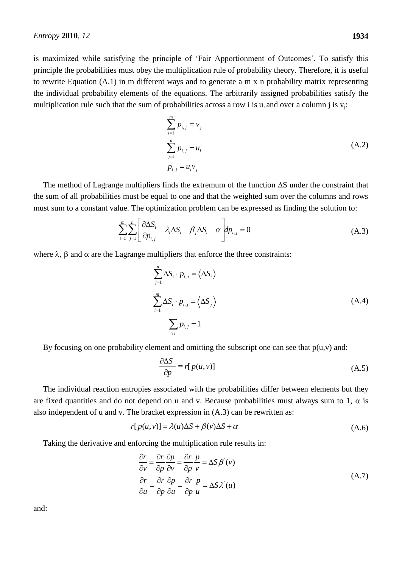is maximized while satisfying the principle of 'Fair Apportionment of Outcomes'. To satisfy this principle the probabilities must obey the multiplication rule of probability theory. Therefore, it is useful to rewrite Equation (A.1) in m different ways and to generate a m x n probability matrix representing the individual probability elements of the equations. The arbitrarily assigned probabilities satisfy the multiplication rule such that the sum of probabilities across a row i is  $u_i$  and over a column j is  $v_i$ :

$$
\sum_{i=1}^{m} p_{i,j} = v_j
$$
\n
$$
\sum_{j=1}^{n} p_{i,j} = u_i
$$
\n
$$
p_{i,j} = u_i v_j
$$
\n(A.2)

The method of Lagrange multipliers finds the extremum of the function  $\Delta S$  under the constraint that the sum of all probabilities must be equal to one and that the weighted sum over the columns and rows

must sum to a constant value. The optimization problem can be expressed as finding the solution to:  
\n
$$
\sum_{i=1}^{m} \sum_{j=1}^{n} \left[ \frac{\partial \Delta S_i}{\partial p_{i,j}} - \lambda_i \Delta S_i - \beta_j \Delta S_i - \alpha \right] dp_{i,j} = 0
$$
\n(A.3)

where  $\lambda$ ,  $\beta$  and  $\alpha$  are the Lagrange multipliers that enforce the three constraints:

$$
\sum_{j=1}^{n} \Delta S_i \cdot p_{i,j} = \langle \Delta S_i \rangle
$$
  

$$
\sum_{i=1}^{m} \Delta S_i \cdot p_{i,j} = \langle \Delta S_j \rangle
$$
  

$$
\sum_{i,j} p_{i,j} = 1
$$
 (A.4)

By focusing on one probability element and omitting the subscript one can see that  $p(u,v)$  and:

$$
\frac{\partial \Delta S}{\partial p} \equiv r[p(u, v)]\tag{A.5}
$$

The individual reaction entropies associated with the probabilities differ between elements but they are fixed quantities and do not depend on u and v. Because probabilities must always sum to 1,  $\alpha$  is also independent of u and v. The bracket expression in (A.3) can be rewritten as:<br> $r[p(u, v)] = \lambda(u)\Delta S + \beta(v)\Delta S + \alpha$ 

$$
r[p(u, v)] = \lambda(u)\Delta S + \beta(v)\Delta S + \alpha
$$
\n(A.6)

Taking the derivative and enforcing the multiplication rule results in:

$$
\frac{\partial r}{\partial v} = \frac{\partial r}{\partial p} \frac{\partial p}{\partial v} = \frac{\partial r}{\partial p} \frac{p}{v} = \Delta S \beta'(v)
$$
\n
$$
\frac{\partial r}{\partial u} = \frac{\partial r}{\partial p} \frac{\partial p}{\partial u} = \frac{\partial r}{\partial p} \frac{p}{u} = \Delta S \lambda'(u)
$$
\n(A.7)

and: